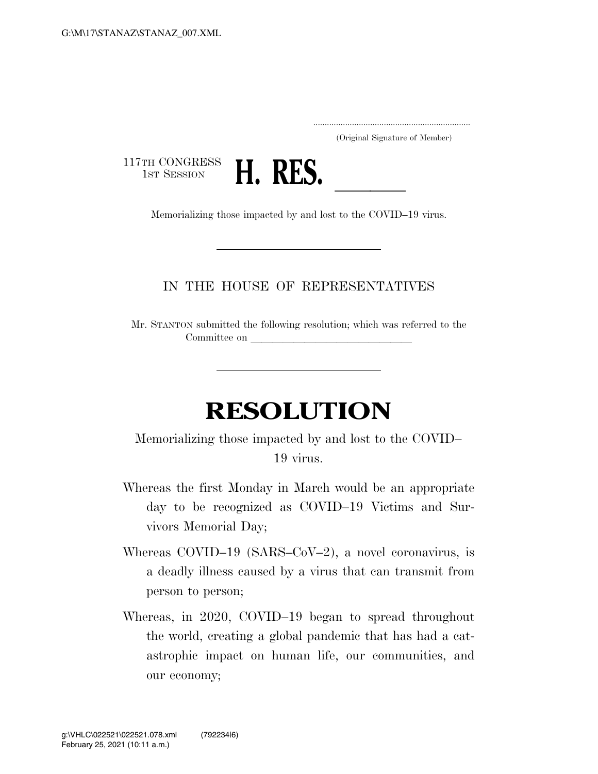..................................................................... (Original Signature of Member)

117TH CONGRESS<br>1st Session



1st SESSION **H. KES.** Memorializing those impacted by and lost to the COVID–19 virus.

## IN THE HOUSE OF REPRESENTATIVES

Mr. STANTON submitted the following resolution; which was referred to the Committee on

## **RESOLUTION**

Memorializing those impacted by and lost to the COVID– 19 virus.

- Whereas the first Monday in March would be an appropriate day to be recognized as COVID–19 Victims and Survivors Memorial Day;
- Whereas COVID–19 (SARS–CoV–2), a novel coronavirus, is a deadly illness caused by a virus that can transmit from person to person;
- Whereas, in 2020, COVID–19 began to spread throughout the world, creating a global pandemic that has had a catastrophic impact on human life, our communities, and our economy;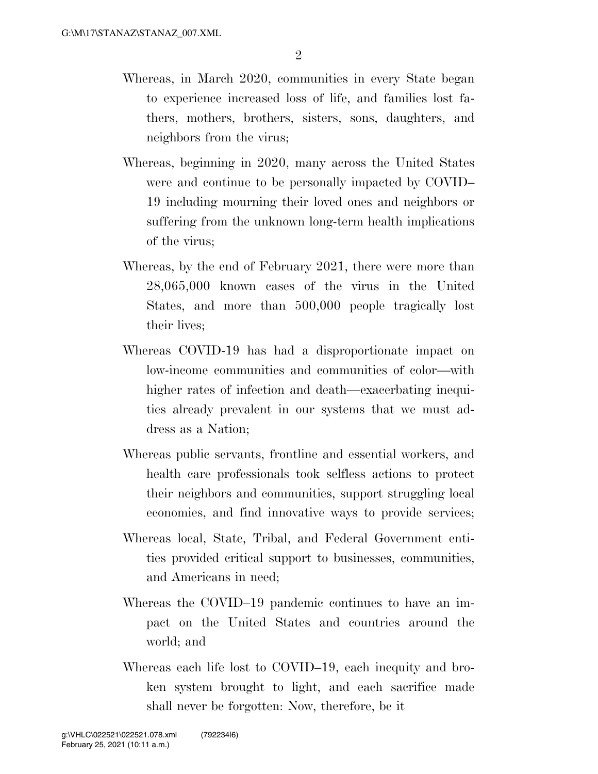- Whereas, in March 2020, communities in every State began to experience increased loss of life, and families lost fathers, mothers, brothers, sisters, sons, daughters, and neighbors from the virus;
- Whereas, beginning in 2020, many across the United States were and continue to be personally impacted by COVID– 19 including mourning their loved ones and neighbors or suffering from the unknown long-term health implications of the virus;
- Whereas, by the end of February 2021, there were more than 28,065,000 known cases of the virus in the United States, and more than 500,000 people tragically lost their lives;
- Whereas COVID-19 has had a disproportionate impact on low-income communities and communities of color—with higher rates of infection and death—exacerbating inequities already prevalent in our systems that we must address as a Nation;
- Whereas public servants, frontline and essential workers, and health care professionals took selfless actions to protect their neighbors and communities, support struggling local economies, and find innovative ways to provide services;
- Whereas local, State, Tribal, and Federal Government entities provided critical support to businesses, communities, and Americans in need;
- Whereas the COVID–19 pandemic continues to have an impact on the United States and countries around the world; and
- Whereas each life lost to COVID–19, each inequity and broken system brought to light, and each sacrifice made shall never be forgotten: Now, therefore, be it